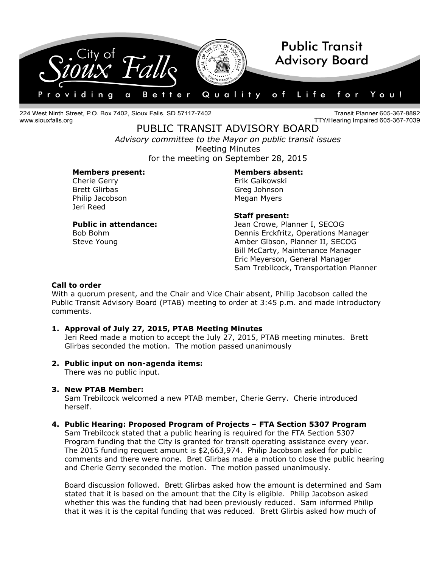

224 West Ninth Street, P.O. Box 7402, Sioux Falls, SD 57117-7402 www.siouxfalls.org

Transit Planner 605-367-8892 TTY/Hearing Impaired 605-367-7039

# PUBLIC TRANSIT ADVISORY BOARD

*Advisory committee to the Mayor on public transit issues* Meeting Minutes for the meeting on September 28, 2015

### **Members present: Members absent:**

Cherie Gerry **Erik Gaikowski** Brett Glirbas Greg Johnson Philip Jacobson Megan Myers Jeri Reed

# **Staff present:**

**Public in attendance:** Jean Crowe, Planner I, SECOG Bob Bohm Dennis Erckfritz, Operations Manager Steve Young **Amber Gibson, Planner II, SECOG** Bill McCarty, Maintenance Manager Eric Meyerson, General Manager Sam Trebilcock, Transportation Planner

# **Call to order**

With a quorum present, and the Chair and Vice Chair absent, Philip Jacobson called the Public Transit Advisory Board (PTAB) meeting to order at 3:45 p.m. and made introductory comments.

# **1. Approval of July 27, 2015, PTAB Meeting Minutes**

Jeri Reed made a motion to accept the July 27, 2015, PTAB meeting minutes. Brett Glirbas seconded the motion. The motion passed unanimously

#### **2. Public input on non-agenda items:**

There was no public input.

# **3. New PTAB Member:**

Sam Trebilcock welcomed a new PTAB member, Cherie Gerry. Cherie introduced herself.

#### **4. Public Hearing: Proposed Program of Projects – FTA Section 5307 Program**

Sam Trebilcock stated that a public hearing is required for the FTA Section 5307 Program funding that the City is granted for transit operating assistance every year. The 2015 funding request amount is \$2,663,974. Philip Jacobson asked for public comments and there were none. Bret Glirbas made a motion to close the public hearing and Cherie Gerry seconded the motion. The motion passed unanimously.

Board discussion followed. Brett Glirbas asked how the amount is determined and Sam stated that it is based on the amount that the City is eligible. Philip Jacobson asked whether this was the funding that had been previously reduced. Sam informed Philip that it was it is the capital funding that was reduced. Brett Glirbis asked how much of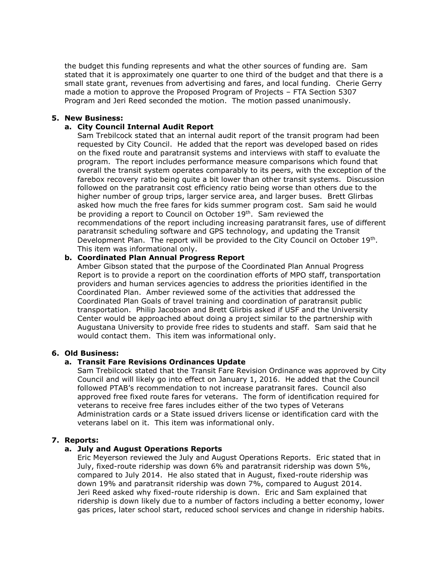the budget this funding represents and what the other sources of funding are. Sam stated that it is approximately one quarter to one third of the budget and that there is a small state grant, revenues from advertising and fares, and local funding. Cherie Gerry made a motion to approve the Proposed Program of Projects – FTA Section 5307 Program and Jeri Reed seconded the motion. The motion passed unanimously.

# **5. New Business:**

#### **a. City Council Internal Audit Report**

Sam Trebilcock stated that an internal audit report of the transit program had been requested by City Council. He added that the report was developed based on rides on the fixed route and paratransit systems and interviews with staff to evaluate the program. The report includes performance measure comparisons which found that overall the transit system operates comparably to its peers, with the exception of the farebox recovery ratio being quite a bit lower than other transit systems. Discussion followed on the paratransit cost efficiency ratio being worse than others due to the higher number of group trips, larger service area, and larger buses. Brett Glirbas asked how much the free fares for kids summer program cost. Sam said he would be providing a report to Council on October 19<sup>th</sup>. Sam reviewed the recommendations of the report including increasing paratransit fares, use of different paratransit scheduling software and GPS technology, and updating the Transit Development Plan. The report will be provided to the City Council on October 19<sup>th</sup>. This item was informational only.

### **b. Coordinated Plan Annual Progress Report**

Amber Gibson stated that the purpose of the Coordinated Plan Annual Progress Report is to provide a report on the coordination efforts of MPO staff, transportation providers and human services agencies to address the priorities identified in the Coordinated Plan. Amber reviewed some of the activities that addressed the Coordinated Plan Goals of travel training and coordination of paratransit public transportation. Philip Jacobson and Brett Glirbis asked if USF and the University Center would be approached about doing a project similar to the partnership with Augustana University to provide free rides to students and staff. Sam said that he would contact them. This item was informational only.

#### **6. Old Business:**

# **a. Transit Fare Revisions Ordinances Update**

Sam Trebilcock stated that the Transit Fare Revision Ordinance was approved by City Council and will likely go into effect on January 1, 2016. He added that the Council followed PTAB's recommendation to not increase paratransit fares. Council also approved free fixed route fares for veterans. The form of identification required for veterans to receive free fares includes either of the two types of Veterans Administration cards or a State issued drivers license or identification card with the veterans label on it. This item was informational only.

#### **7. Reports:**

# **a. July and August Operations Reports**

Eric Meyerson reviewed the July and August Operations Reports. Eric stated that in July, fixed-route ridership was down 6% and paratransit ridership was down 5%, compared to July 2014. He also stated that in August, fixed-route ridership was down 19% and paratransit ridership was down 7%, compared to August 2014. Jeri Reed asked why fixed-route ridership is down. Eric and Sam explained that ridership is down likely due to a number of factors including a better economy, lower gas prices, later school start, reduced school services and change in ridership habits.